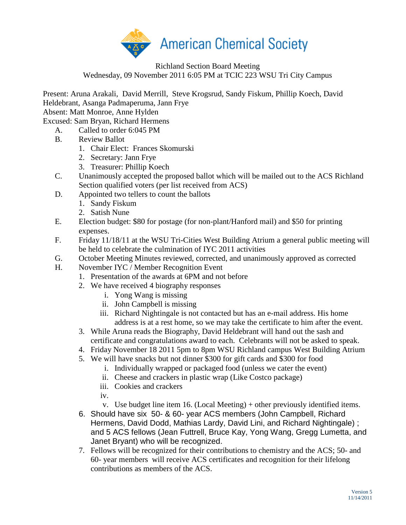

## Richland Section Board Meeting Wednesday, 09 November 2011 6:05 PM at TCIC 223 WSU Tri City Campus

Present: Aruna Arakali, David Merrill, Steve Krogsrud, Sandy Fiskum, Phillip Koech, David Heldebrant, Asanga Padmaperuma, Jann Frye

Absent: Matt Monroe, Anne Hylden

Excused: Sam Bryan, Richard Hermens

- A. Called to order 6:045 PM
- B. Review Ballot
	- 1. Chair Elect: Frances Skomurski
	- 2. Secretary: Jann Frye
	- 3. Treasurer: Phillip Koech
- C. Unanimously accepted the proposed ballot which will be mailed out to the ACS Richland Section qualified voters (per list received from ACS)
- D. Appointed two tellers to count the ballots
	- 1. Sandy Fiskum
	- 2. Satish Nune
- E. Election budget: \$80 for postage (for non-plant/Hanford mail) and \$50 for printing expenses.
- F. Friday 11/18/11 at the WSU Tri-Cities West Building Atrium a general public meeting will be held to celebrate the culmination of IYC 2011 activities
- G. October Meeting Minutes reviewed, corrected, and unanimously approved as corrected
- H. November IYC / Member Recognition Event
	- 1. Presentation of the awards at 6PM and not before
	- 2. We have received 4 biography responses
		- i. Yong Wang is missing
		- ii. John Campbell is missing
		- iii. Richard Nightingale is not contacted but has an e-mail address. His home address is at a rest home, so we may take the certificate to him after the event.
	- 3. While Aruna reads the Biography, David Heldebrant will hand out the sash and certificate and congratulations award to each. Celebrants will not be asked to speak.
	- 4. Friday November 18 2011 5pm to 8pm WSU Richland campus West Building Atrium
	- 5. We will have snacks but not dinner \$300 for gift cards and \$300 for food
		- i. Individually wrapped or packaged food (unless we cater the event)
		- ii. Cheese and crackers in plastic wrap (Like Costco package)
		- iii. Cookies and crackers
		- iv.
		- v. Use budget line item 16. (Local Meeting) + other previously identified items.
	- 6. Should have six 50- & 60- year ACS members (John Campbell, Richard Hermens, David Dodd, Mathias Lardy, David Lini, and Richard Nightingale) ; and 5 ACS fellows (Jean Futtrell, Bruce Kay, Yong Wang, Gregg Lumetta, and Janet Bryant) who will be recognized.
	- 7. Fellows will be recognized for their contributions to chemistry and the ACS; 50- and 60- year members will receive ACS certificates and recognition for their lifelong contributions as members of the ACS.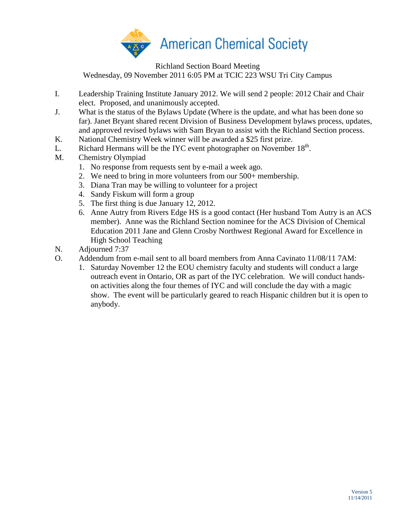

Richland Section Board Meeting Wednesday, 09 November 2011 6:05 PM at TCIC 223 WSU Tri City Campus

- I. Leadership Training Institute January 2012. We will send 2 people: 2012 Chair and Chair
- elect. Proposed, and unanimously accepted.
- J. What is the status of the Bylaws Update (Where is the update, and what has been done so far). Janet Bryant shared recent Division of Business Development bylaws process, updates, and approved revised bylaws with Sam Bryan to assist with the Richland Section process.
- K. National Chemistry Week winner will be awarded a \$25 first prize.
- L. Richard Hermans will be the IYC event photographer on November  $18<sup>th</sup>$ .
- M. Chemistry Olympiad
	- 1. No response from requests sent by e-mail a week ago.
	- 2. We need to bring in more volunteers from our 500+ membership.
	- 3. Diana Tran may be willing to volunteer for a project
	- 4. Sandy Fiskum will form a group
	- 5. The first thing is due January 12, 2012.
	- 6. Anne Autry from Rivers Edge HS is a good contact (Her husband Tom Autry is an ACS member). Anne was the Richland Section nominee for the ACS Division of Chemical Education 2011 Jane and Glenn Crosby Northwest Regional Award for Excellence in High School Teaching
- N. Adjourned 7:37
- O. Addendum from e-mail sent to all board members from Anna Cavinato 11/08/11 7AM:
	- 1. Saturday November 12 the EOU chemistry faculty and students will conduct a large outreach event in Ontario, OR as part of the IYC celebration. We will conduct handson activities along the four themes of IYC and will conclude the day with a magic show. The event will be particularly geared to reach Hispanic children but it is open to anybody.